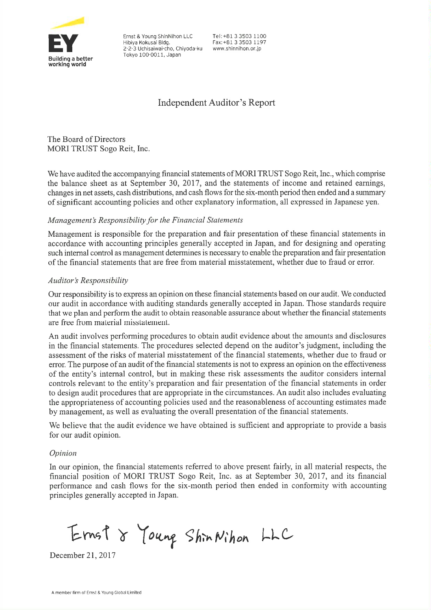

Ernst & Young ShinNihon LLC Hibiya Kokusai Bldg. 2-2-3 Uchisaiwai-cho, Chiyoda-ku Tokyo 100-0011, Japan

Tel: +81 3 3503 1100 Fax: +81.3.3503.1197 www.shinnihon.or.jp

# **Independent Auditor's Report**

The Board of Directors MORI TRUST Sogo Reit, Inc.

We have audited the accompanying financial statements of MORI TRUST Sogo Reit, Inc., which comprise the balance sheet as at September 30, 2017, and the statements of income and retained earnings, changes in net assets, cash distributions, and cash flows for the six-month period then ended and a summary of significant accounting policies and other explanatory information, all expressed in Japanese yen.

# Management's Responsibility for the Financial Statements

Management is responsible for the preparation and fair presentation of these financial statements in accordance with accounting principles generally accepted in Japan, and for designing and operating such internal control as management determines is necessary to enable the preparation and fair presentation of the financial statements that are free from material misstatement, whether due to fraud or error.

# **Auditor's Responsibility**

Our responsibility is to express an opinion on these financial statements based on our audit. We conducted our audit in accordance with auditing standards generally accepted in Japan. Those standards require that we plan and perform the audit to obtain reasonable assurance about whether the financial statements are free from material misstatement.

An audit involves performing procedures to obtain audit evidence about the amounts and disclosures in the financial statements. The procedures selected depend on the auditor's judgment, including the assessment of the risks of material misstatement of the financial statements, whether due to fraud or error. The purpose of an audit of the financial statements is not to express an opinion on the effectiveness of the entity's internal control, but in making these risk assessments the auditor considers internal controls relevant to the entity's preparation and fair presentation of the financial statements in order to design audit procedures that are appropriate in the circumstances. An audit also includes evaluating the appropriateness of accounting policies used and the reasonableness of accounting estimates made by management, as well as evaluating the overall presentation of the financial statements.

We believe that the audit evidence we have obtained is sufficient and appropriate to provide a basis for our audit opinion.

# Opinion

In our opinion, the financial statements referred to above present fairly, in all material respects, the financial position of MORI TRUST Sogo Reit, Inc. as at September 30, 2017, and its financial performance and cash flows for the six-month period then ended in conformity with accounting principles generally accepted in Japan.

Ernst & Young Shin Nihon LLC

December 21, 2017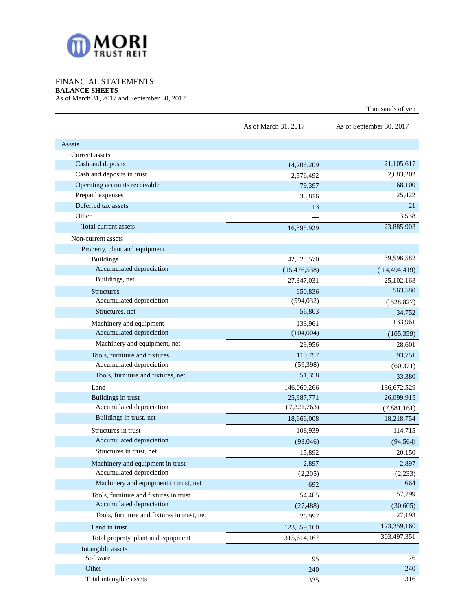

# FINANCIAL STATEMENTS

**BALANCE SHEETS**

As of March 31, 2017 and September 30, 2017

|                                             |                      | Thousands of yen         |
|---------------------------------------------|----------------------|--------------------------|
|                                             | As of March 31, 2017 | As of September 30, 2017 |
| Assets                                      |                      |                          |
| Current assets                              |                      |                          |
| Cash and deposits                           | 14,206,209           | 21,105,617               |
| Cash and deposits in trust                  | 2,576,492            | 2,683,202                |
| Operating accounts receivable               | 79,397               | 68,100                   |
| Prepaid expenses                            | 33,816               | 25,422                   |
| Deferred tax assets                         | 13                   | 21                       |
| Other                                       |                      | 3,538                    |
| Total current assets                        | 16,895,929           | 23,885,903               |
| Non-current assets                          |                      |                          |
| Property, plant and equipment               |                      |                          |
| <b>Buildings</b>                            | 42,823,570           | 39,596,582               |
| Accumulated depreciation                    | (15, 476, 538)       | (14, 494, 419)           |
| Buildings, net                              | 27,347,031           | 25,102,163               |
| <b>Structures</b>                           | 650,836              | 563,580                  |
| Accumulated depreciation                    | (594, 032)           | (528, 827)               |
| Structures, net                             | 56,803               | 34,752                   |
| Machinery and equipment                     | 133,961              | 133,961                  |
| Accumulated depreciation                    | (104,004)            | (105, 359)               |
| Machinery and equipment, net                | 29,956               | 28,601                   |
| Tools, furniture and fixtures               | 110,757              | 93,751                   |
| Accumulated depreciation                    | (59, 398)            | (60, 371)                |
| Tools, furniture and fixtures, net          | 51,358               | 33,380                   |
| Land                                        | 146,060,266          | 136,672,529              |
| Buildings in trust                          | 25,987,771           | 26,099,915               |
| Accumulated depreciation                    | (7,321,763)          | (7,881,161)              |
| Buildings in trust, net                     | 18,666,008           | 18,218,754               |
| Structures in trust                         | 108,939              | 114,715                  |
| Accumulated depreciation                    | (93,046)             | (94, 564)                |
| Structures in trust, net                    | 15,892               | 20,150                   |
| Machinery and equipment in trust            | 2,897                | 2,897                    |
| Accumulated depreciation                    | (2,205)              | (2, 233)                 |
| Machinery and equipment in trust, net       | 692                  | 664                      |
| Tools, furniture and fixtures in trust      | 54,485               | 57,799                   |
| Accumulated depreciation                    | (27, 488)            | (30,605)                 |
| Tools, furniture and fixtures in trust, net | 26,997               | 27,193                   |
| Land in trust                               | 123,359,160          | 123,359,160              |
| Total property, plant and equipment         | 315,614,167          | 303,497,351              |
| Intangible assets                           |                      |                          |
| Software                                    | 95                   | 76                       |
| Other                                       | 240                  | 240                      |
| Total intangible assets                     | 335                  | 316                      |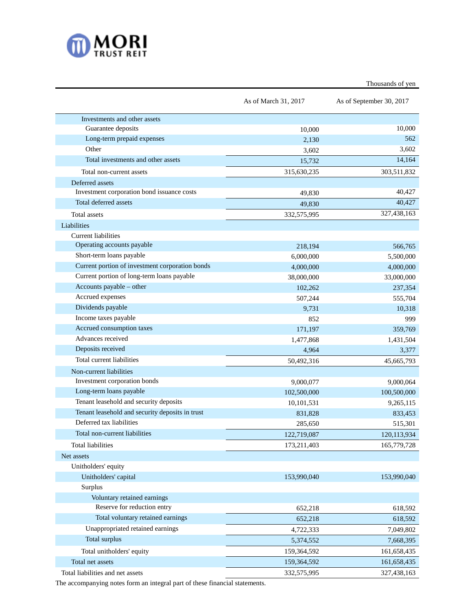

Thousands of yen

|                                                 | As of March 31, 2017 | As of September 30, 2017 |  |
|-------------------------------------------------|----------------------|--------------------------|--|
| Investments and other assets                    |                      |                          |  |
| Guarantee deposits                              | 10,000               | 10,000                   |  |
| Long-term prepaid expenses                      | 2,130                | 562                      |  |
| Other                                           | 3,602                | 3,602                    |  |
| Total investments and other assets              | 15,732               | 14,164                   |  |
| Total non-current assets                        | 315,630,235          | 303,511,832              |  |
| Deferred assets                                 |                      |                          |  |
| Investment corporation bond issuance costs      | 49,830               | 40,427                   |  |
| Total deferred assets                           | 49,830               | 40,427                   |  |
| Total assets                                    | 332,575,995          | 327,438,163              |  |
| Liabilities                                     |                      |                          |  |
| Current liabilities                             |                      |                          |  |
| Operating accounts payable                      | 218,194              | 566,765                  |  |
| Short-term loans payable                        | 6,000,000            | 5,500,000                |  |
| Current portion of investment corporation bonds | 4,000,000            | 4,000,000                |  |
| Current portion of long-term loans payable      | 38,000,000           | 33,000,000               |  |
| Accounts payable – other                        | 102,262              | 237,354                  |  |
| Accrued expenses                                | 507,244              | 555,704                  |  |
| Dividends payable                               | 9,731                | 10,318                   |  |
| Income taxes payable                            | 852                  | 999                      |  |
| Accrued consumption taxes                       | 171,197              | 359,769                  |  |
| Advances received                               | 1,477,868            | 1,431,504                |  |
| Deposits received                               | 4,964                | 3,377                    |  |
| Total current liabilities                       | 50,492,316           | 45,665,793               |  |
| Non-current liabilities                         |                      |                          |  |
| Investment corporation bonds                    | 9,000,077            | 9,000,064                |  |
| Long-term loans payable                         | 102,500,000          | 100,500,000              |  |
| Tenant leasehold and security deposits          | 10,101,531           | 9,265,115                |  |
| Tenant leasehold and security deposits in trust | 831,828              | 833,453                  |  |
| Deferred tax liabilities                        | 285,650              | 515,301                  |  |
| Total non-current liabilities                   | 122,719,087          | 120, 113, 934            |  |
| Total liabilities                               | 173,211,403          | 165,779,728              |  |
| Net assets                                      |                      |                          |  |
| Unitholders' equity                             |                      |                          |  |
| Unitholders' capital                            | 153,990,040          | 153,990,040              |  |
| Surplus                                         |                      |                          |  |
| Voluntary retained earnings                     |                      |                          |  |
| Reserve for reduction entry                     | 652,218              | 618,592                  |  |
| Total voluntary retained earnings               | 652,218              | 618,592                  |  |
| Unappropriated retained earnings                | 4,722,333            | 7,049,802                |  |
| Total surplus                                   | 5,374,552            | 7,668,395                |  |
| Total unitholders' equity                       | 159,364,592          | 161,658,435              |  |
| Total net assets                                | 159,364,592          | 161,658,435              |  |
| Total liabilities and net assets                | 332,575,995          | 327,438,163              |  |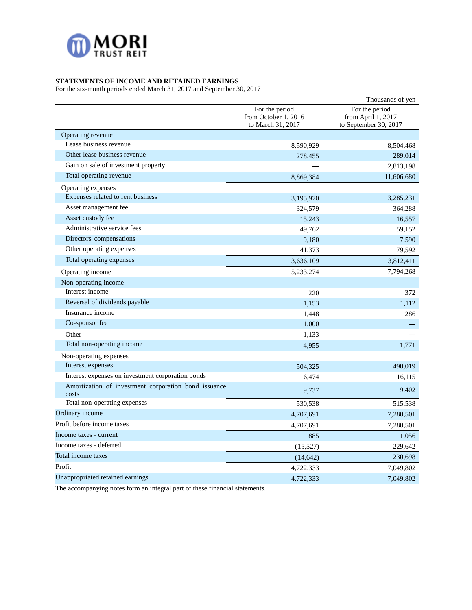

# **STATEMENTS OF INCOME AND RETAINED EARNINGS**

For the six-month periods ended March 31, 2017 and September 30, 2017

|                                                               |                                                             | Thousands of yen                                              |
|---------------------------------------------------------------|-------------------------------------------------------------|---------------------------------------------------------------|
|                                                               | For the period<br>from October 1, 2016<br>to March 31, 2017 | For the period<br>from April 1, 2017<br>to September 30, 2017 |
| Operating revenue                                             |                                                             |                                                               |
| Lease business revenue                                        | 8,590,929                                                   | 8,504,468                                                     |
| Other lease business revenue                                  | 278,455                                                     | 289,014                                                       |
| Gain on sale of investment property                           |                                                             | 2,813,198                                                     |
| Total operating revenue                                       | 8,869,384                                                   | 11,606,680                                                    |
| Operating expenses                                            |                                                             |                                                               |
| Expenses related to rent business                             | 3,195,970                                                   | 3,285,231                                                     |
| Asset management fee                                          | 324,579                                                     | 364,288                                                       |
| Asset custody fee                                             | 15,243                                                      | 16,557                                                        |
| Administrative service fees                                   | 49,762                                                      | 59,152                                                        |
| Directors' compensations                                      | 9,180                                                       | 7,590                                                         |
| Other operating expenses                                      | 41,373                                                      | 79,592                                                        |
| Total operating expenses                                      | 3,636,109                                                   | 3,812,411                                                     |
| Operating income                                              | 5, 233, 274                                                 | 7,794,268                                                     |
| Non-operating income                                          |                                                             |                                                               |
| Interest income                                               | 220                                                         | 372                                                           |
| Reversal of dividends payable                                 | 1,153                                                       | 1,112                                                         |
| Insurance income                                              | 1,448                                                       | 286                                                           |
| Co-sponsor fee                                                | 1,000                                                       |                                                               |
| Other                                                         | 1,133                                                       |                                                               |
| Total non-operating income                                    | 4,955                                                       | 1,771                                                         |
| Non-operating expenses                                        |                                                             |                                                               |
| Interest expenses                                             | 504,325                                                     | 490,019                                                       |
| Interest expenses on investment corporation bonds             | 16,474                                                      | 16,115                                                        |
| Amortization of investment corporation bond issuance<br>costs | 9,737                                                       | 9,402                                                         |
| Total non-operating expenses                                  | 530,538                                                     | 515,538                                                       |
| Ordinary income                                               | 4,707,691                                                   | 7,280,501                                                     |
| Profit before income taxes                                    | 4,707,691                                                   | 7,280,501                                                     |
| Income taxes - current                                        | 885                                                         | 1,056                                                         |
| Income taxes - deferred                                       | (15,527)                                                    | 229,642                                                       |
| Total income taxes                                            | (14, 642)                                                   | 230,698                                                       |
| Profit                                                        | 4,722,333                                                   | 7,049,802                                                     |
| Unappropriated retained earnings                              | 4,722,333                                                   | 7,049,802                                                     |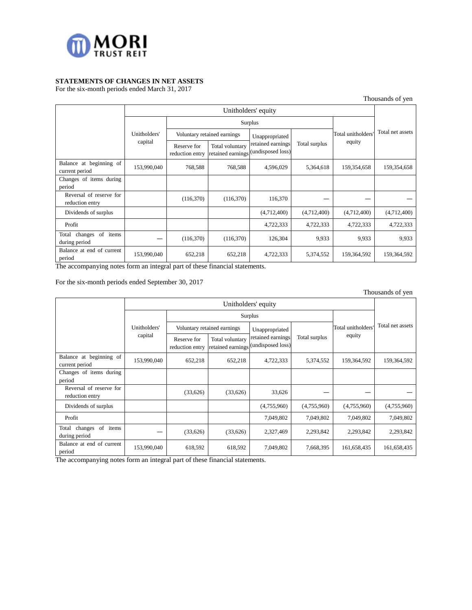

# **STATEMENTS OF CHANGES IN NET ASSETS**

For the six-month periods ended March 31, 2017

Thousands of yen

|                                            | Unitholders' equity |                                |                                      |                                        |               |                    |                  |
|--------------------------------------------|---------------------|--------------------------------|--------------------------------------|----------------------------------------|---------------|--------------------|------------------|
|                                            |                     |                                | Surplus                              |                                        |               |                    |                  |
|                                            | Unitholders'        | Voluntary retained earnings    |                                      | Unappropriated                         |               | Total unitholders' | Total net assets |
|                                            | capital             | Reserve for<br>reduction entry | Total voluntary<br>retained earnings | retained earnings<br>(undisposed loss) | Total surplus | equity             |                  |
| Balance at beginning of<br>current period  | 153,990,040         | 768,588                        | 768,588                              | 4,596,029                              | 5,364,618     | 159,354,658        | 159,354,658      |
| Changes of items during<br>period          |                     |                                |                                      |                                        |               |                    |                  |
| Reversal of reserve for<br>reduction entry |                     | (116,370)                      | (116,370)                            | 116,370                                |               |                    |                  |
| Dividends of surplus                       |                     |                                |                                      | (4,712,400)                            | (4,712,400)   | (4,712,400)        | (4,712,400)      |
| Profit                                     |                     |                                |                                      | 4,722,333                              | 4,722,333     | 4,722,333          | 4,722,333        |
| Total changes of items<br>during period    |                     | (116,370)                      | (116,370)                            | 126,304                                | 9,933         | 9,933              | 9,933            |
| Balance at end of current<br>period        | 153,990,040         | 652,218                        | 652,218                              | 4,722,333                              | 5,374,552     | 159,364,592        | 159,364,592      |

The accompanying notes form an integral part of these financial statements.

For the six-month periods ended September 30, 2017

|                                                  |              |                                |                                      |                                        |               |                   | Thousands of yen |
|--------------------------------------------------|--------------|--------------------------------|--------------------------------------|----------------------------------------|---------------|-------------------|------------------|
| Unitholders' equity                              |              |                                |                                      |                                        |               |                   |                  |
|                                                  |              |                                |                                      | Surplus                                |               |                   |                  |
|                                                  | Unitholders' |                                | Voluntary retained earnings          | Unappropriated                         |               | Total unitholders | Total net assets |
|                                                  | capital      | Reserve for<br>reduction entry | Total voluntary<br>retained earnings | retained earnings<br>(undisposed loss) | Total surplus | equity            |                  |
| Balance at beginning of<br>current period        | 153,990,040  | 652,218                        | 652,218                              | 4,722,333                              | 5,374,552     | 159,364,592       | 159,364,592      |
| Changes of items during<br>period                |              |                                |                                      |                                        |               |                   |                  |
| Reversal of reserve for<br>reduction entry       |              | (33,626)                       | (33,626)                             | 33,626                                 |               |                   |                  |
| Dividends of surplus                             |              |                                |                                      | (4,755,960)                            | (4,755,960)   | (4,755,960)       | (4,755,960)      |
| Profit                                           |              |                                |                                      | 7,049,802                              | 7,049,802     | 7,049,802         | 7,049,802        |
| of<br>Total<br>changes<br>items<br>during period |              | (33, 626)                      | (33, 626)                            | 2,327,469                              | 2,293,842     | 2,293,842         | 2,293,842        |
| Balance at end of current<br>period              | 153,990,040  | 618,592                        | 618,592                              | 7,049,802                              | 7,668,395     | 161,658,435       | 161,658,435      |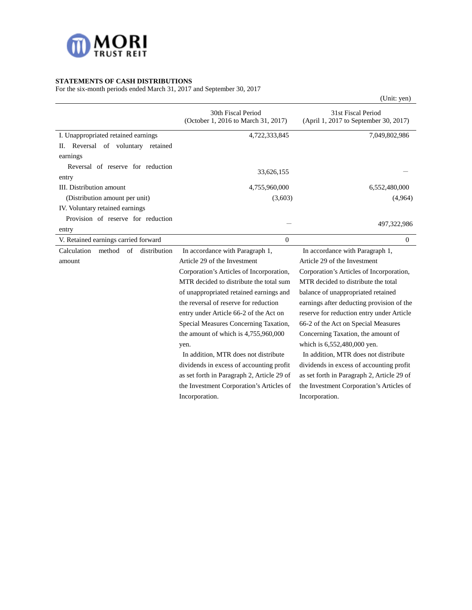

# **STATEMENTS OF CASH DISTRIBUTIONS**

For the six-month periods ended March 31, 2017 and September 30, 2017

| of the $\frac{31}{100}$ month periods ended material, 2017 and beptended 50, 2 |                                                           | (Unit: yen)                                                 |
|--------------------------------------------------------------------------------|-----------------------------------------------------------|-------------------------------------------------------------|
|                                                                                | 30th Fiscal Period<br>(October 1, 2016 to March 31, 2017) | 31st Fiscal Period<br>(April 1, 2017 to September 30, 2017) |
| I. Unappropriated retained earnings                                            | 4,722,333,845                                             | 7,049,802,986                                               |
| II. Reversal of voluntary retained                                             |                                                           |                                                             |
| earnings                                                                       |                                                           |                                                             |
| Reversal of reserve for reduction                                              |                                                           |                                                             |
| entry                                                                          | 33,626,155                                                |                                                             |
| III. Distribution amount                                                       | 4,755,960,000                                             | 6,552,480,000                                               |
| (Distribution amount per unit)                                                 | (3,603)                                                   | (4,964)                                                     |
| IV. Voluntary retained earnings                                                |                                                           |                                                             |
| Provision of reserve for reduction                                             |                                                           |                                                             |
| entry                                                                          |                                                           | 497,322,986                                                 |
| V. Retained earnings carried forward                                           | $\mathbf{0}$                                              | $\mathbf{0}$                                                |
| Calculation<br>method<br>of<br>distribution                                    | In accordance with Paragraph 1,                           | In accordance with Paragraph 1,                             |
| amount                                                                         | Article 29 of the Investment                              | Article 29 of the Investment                                |
|                                                                                | Corporation's Articles of Incorporation,                  | Corporation's Articles of Incorporation,                    |
|                                                                                | MTR decided to distribute the total sum                   | MTR decided to distribute the total                         |
|                                                                                | of unappropriated retained earnings and                   | balance of unappropriated retained                          |
|                                                                                | the reversal of reserve for reduction                     | earnings after deducting provision of the                   |
|                                                                                | entry under Article 66-2 of the Act on                    | reserve for reduction entry under Article                   |
|                                                                                | Special Measures Concerning Taxation,                     | 66-2 of the Act on Special Measures                         |
|                                                                                | the amount of which is 4,755,960,000                      | Concerning Taxation, the amount of                          |
|                                                                                | yen.                                                      | which is 6,552,480,000 yen.                                 |
|                                                                                | In addition, MTR does not distribute                      | In addition, MTR does not distribute                        |
|                                                                                | dividends in excess of accounting profit                  | dividends in excess of accounting profit                    |
|                                                                                | as set forth in Paragraph 2, Article 29 of                | as set forth in Paragraph 2, Article 29 of                  |
|                                                                                | the Investment Corporation's Articles of                  | the Investment Corporation's Articles of                    |
|                                                                                | Incorporation.                                            | Incorporation.                                              |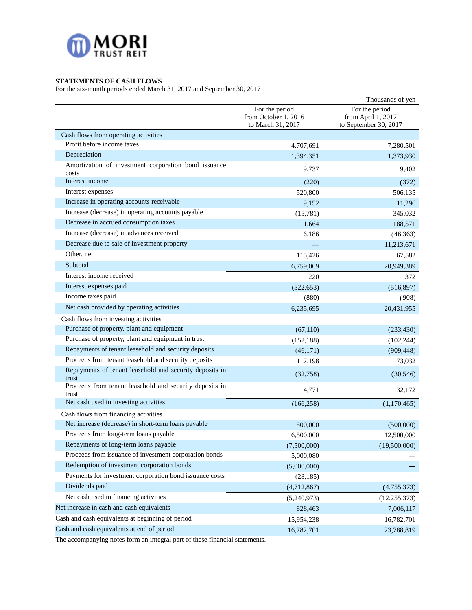

# **STATEMENTS OF CASH FLOWS**

For the six-month periods ended March 31, 2017 and September 30, 2017

|                                                                  |                                                             | Thousands of yen                                              |
|------------------------------------------------------------------|-------------------------------------------------------------|---------------------------------------------------------------|
|                                                                  | For the period<br>from October 1, 2016<br>to March 31, 2017 | For the period<br>from April 1, 2017<br>to September 30, 2017 |
| Cash flows from operating activities                             |                                                             |                                                               |
| Profit before income taxes                                       | 4,707,691                                                   | 7,280,501                                                     |
| Depreciation                                                     | 1,394,351                                                   | 1,373,930                                                     |
| Amortization of investment corporation bond issuance<br>costs    | 9,737                                                       | 9,402                                                         |
| Interest income                                                  | (220)                                                       | (372)                                                         |
| Interest expenses                                                | 520,800                                                     | 506,135                                                       |
| Increase in operating accounts receivable                        | 9,152                                                       | 11,296                                                        |
| Increase (decrease) in operating accounts payable                | (15,781)                                                    | 345,032                                                       |
| Decrease in accrued consumption taxes                            | 11,664                                                      | 188,571                                                       |
| Increase (decrease) in advances received                         | 6,186                                                       | (46, 363)                                                     |
| Decrease due to sale of investment property                      |                                                             | 11,213,671                                                    |
| Other, net                                                       | 115,426                                                     | 67,582                                                        |
| Subtotal                                                         | 6,759,009                                                   | 20,949,389                                                    |
| Interest income received                                         | 220                                                         | 372                                                           |
| Interest expenses paid                                           | (522, 653)                                                  | (516, 897)                                                    |
| Income taxes paid                                                | (880)                                                       | (908)                                                         |
| Net cash provided by operating activities                        | 6,235,695                                                   | 20,431,955                                                    |
| Cash flows from investing activities                             |                                                             |                                                               |
| Purchase of property, plant and equipment                        | (67,110)                                                    | (233, 430)                                                    |
| Purchase of property, plant and equipment in trust               | (152, 188)                                                  | (102, 244)                                                    |
| Repayments of tenant leasehold and security deposits             | (46,171)                                                    | (909, 448)                                                    |
| Proceeds from tenant leasehold and security deposits             | 117,198                                                     | 73,032                                                        |
| Repayments of tenant leasehold and security deposits in<br>trust | (32,758)                                                    | (30, 546)                                                     |
| Proceeds from tenant leasehold and security deposits in<br>trust | 14,771                                                      | 32,172                                                        |
| Net cash used in investing activities                            | (166, 258)                                                  | (1,170,465)                                                   |
| Cash flows from financing activities                             |                                                             |                                                               |
| Net increase (decrease) in short-term loans payable              | 500,000                                                     | (500,000)                                                     |
| Proceeds from long-term loans payable                            | 6,500,000                                                   | 12,500,000                                                    |
| Repayments of long-term loans payable                            | (7,500,000)                                                 | (19,500,000)                                                  |
| Proceeds from issuance of investment corporation bonds           | 5,000,080                                                   |                                                               |
| Redemption of investment corporation bonds                       | (5,000,000)                                                 |                                                               |
| Payments for investment corporation bond issuance costs          | (28, 185)                                                   |                                                               |
| Dividends paid                                                   | (4,712,867)                                                 | (4,755,373)                                                   |
| Net cash used in financing activities                            | (5,240,973)                                                 | (12, 255, 373)                                                |
| Net increase in cash and cash equivalents                        | 828,463                                                     | 7,006,117                                                     |
| Cash and cash equivalents at beginning of period                 | 15,954,238                                                  | 16,782,701                                                    |
| Cash and cash equivalents at end of period                       | 16,782,701                                                  | 23,788,819                                                    |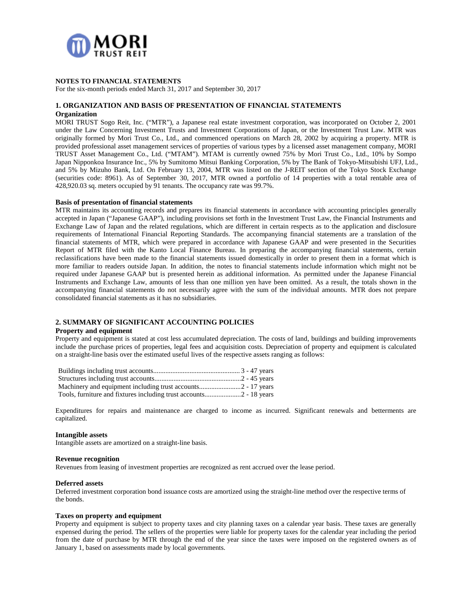

### **NOTES TO FINANCIAL STATEMENTS**

For the six-month periods ended March 31, 2017 and September 30, 2017

#### **1. ORGANIZATION AND BASIS OF PRESENTATION OF FINANCIAL STATEMENTS Organization**

MORI TRUST Sogo Reit, Inc. ("MTR"), a Japanese real estate investment corporation, was incorporated on October 2, 2001 under the Law Concerning Investment Trusts and Investment Corporations of Japan, or the Investment Trust Law. MTR was originally formed by Mori Trust Co., Ltd., and commenced operations on March 28, 2002 by acquiring a property. MTR is provided professional asset management services of properties of various types by a licensed asset management company, MORI TRUST Asset Management Co., Ltd. ("MTAM"). MTAM is currently owned 75% by Mori Trust Co., Ltd., 10% by Sompo Japan Nipponkoa Insurance Inc., 5% by Sumitomo Mitsui Banking Corporation, 5% by The Bank of Tokyo-Mitsubishi UFJ, Ltd., and 5% by Mizuho Bank, Ltd. On February 13, 2004, MTR was listed on the J-REIT section of the Tokyo Stock Exchange (securities code: 8961). As of September 30, 2017, MTR owned a portfolio of 14 properties with a total rentable area of 428,920.03 sq. meters occupied by 91 tenants. The occupancy rate was 99.7%.

#### **Basis of presentation of financial statements**

MTR maintains its accounting records and prepares its financial statements in accordance with accounting principles generally accepted in Japan ("Japanese GAAP"), including provisions set forth in the Investment Trust Law, the Financial Instruments and Exchange Law of Japan and the related regulations, which are different in certain respects as to the application and disclosure requirements of International Financial Reporting Standards. The accompanying financial statements are a translation of the financial statements of MTR, which were prepared in accordance with Japanese GAAP and were presented in the Securities Report of MTR filed with the Kanto Local Finance Bureau. In preparing the accompanying financial statements, certain reclassifications have been made to the financial statements issued domestically in order to present them in a format which is more familiar to readers outside Japan. In addition, the notes to financial statements include information which might not be required under Japanese GAAP but is presented herein as additional information. As permitted under the Japanese Financial Instruments and Exchange Law, amounts of less than one million yen have been omitted. As a result, the totals shown in the accompanying financial statements do not necessarily agree with the sum of the individual amounts. MTR does not prepare consolidated financial statements as it has no subsidiaries.

# **2. SUMMARY OF SIGNIFICANT ACCOUNTING POLICIES**

### **Property and equipment**

Property and equipment is stated at cost less accumulated depreciation. The costs of land, buildings and building improvements include the purchase prices of properties, legal fees and acquisition costs. Depreciation of property and equipment is calculated on a straight-line basis over the estimated useful lives of the respective assets ranging as follows:

Expenditures for repairs and maintenance are charged to income as incurred. Significant renewals and betterments are capitalized.

#### **Intangible assets**

Intangible assets are amortized on a straight-line basis.

#### **Revenue recognition**

Revenues from leasing of investment properties are recognized as rent accrued over the lease period.

#### **Deferred assets**

Deferred investment corporation bond issuance costs are amortized using the straight-line method over the respective terms of the bonds.

#### **Taxes on property and equipment**

Property and equipment is subject to property taxes and city planning taxes on a calendar year basis. These taxes are generally expensed during the period. The sellers of the properties were liable for property taxes for the calendar year including the period from the date of purchase by MTR through the end of the year since the taxes were imposed on the registered owners as of January 1, based on assessments made by local governments.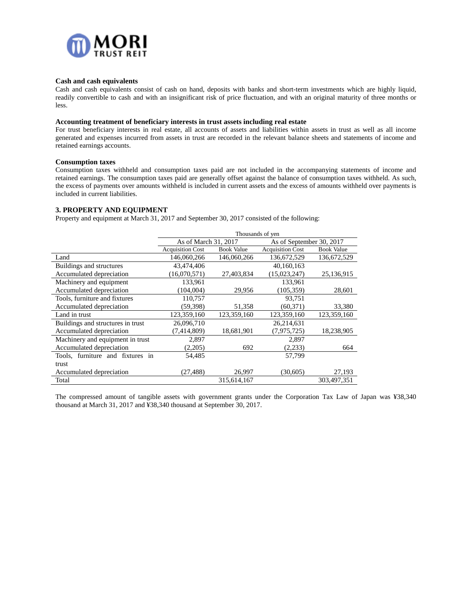

#### **Cash and cash equivalents**

Cash and cash equivalents consist of cash on hand, deposits with banks and short-term investments which are highly liquid, readily convertible to cash and with an insignificant risk of price fluctuation, and with an original maturity of three months or less.

#### **Accounting treatment of beneficiary interests in trust assets including real estate**

For trust beneficiary interests in real estate, all accounts of assets and liabilities within assets in trust as well as all income generated and expenses incurred from assets in trust are recorded in the relevant balance sheets and statements of income and retained earnings accounts.

#### **Consumption taxes**

Consumption taxes withheld and consumption taxes paid are not included in the accompanying statements of income and retained earnings. The consumption taxes paid are generally offset against the balance of consumption taxes withheld. As such, the excess of payments over amounts withheld is included in current assets and the excess of amounts withheld over payments is included in current liabilities.

#### **3. PROPERTY AND EQUIPMENT**

Property and equipment at March 31, 2017 and September 30, 2017 consisted of the following:

|                                   | Thousands of ven                             |             |                          |                   |  |  |  |
|-----------------------------------|----------------------------------------------|-------------|--------------------------|-------------------|--|--|--|
|                                   | As of March 31, 2017                         |             | As of September 30, 2017 |                   |  |  |  |
|                                   | <b>Acquisition Cost</b><br><b>Book Value</b> |             | <b>Acquisition Cost</b>  | <b>Book Value</b> |  |  |  |
| Land                              | 146,060,266                                  | 146,060,266 | 136,672,529              | 136,672,529       |  |  |  |
| Buildings and structures          | 43,474,406                                   |             | 40,160,163               |                   |  |  |  |
| Accumulated depreciation          | (16,070,571)                                 | 27,403,834  | (15,023,247)             | 25,136,915        |  |  |  |
| Machinery and equipment           | 133,961                                      |             | 133,961                  |                   |  |  |  |
| Accumulated depreciation          | (104,004)                                    | 29,956      | (105, 359)               | 28,601            |  |  |  |
| Tools, furniture and fixtures     | 110,757                                      |             | 93,751                   |                   |  |  |  |
| Accumulated depreciation          | (59,398)                                     | 51,358      | (60, 371)                | 33,380            |  |  |  |
| Land in trust                     | 123,359,160                                  | 123,359,160 | 123,359,160              | 123,359,160       |  |  |  |
| Buildings and structures in trust | 26,096,710                                   |             | 26,214,631               |                   |  |  |  |
| Accumulated depreciation          | (7,414,809)                                  | 18,681,901  | (7, 975, 725)            | 18,238,905        |  |  |  |
| Machinery and equipment in trust  | 2,897                                        |             | 2,897                    |                   |  |  |  |
| Accumulated depreciation          | (2,205)                                      | 692         | (2,233)                  | 664               |  |  |  |
| Tools, furniture and fixtures in  | 54,485                                       |             | 57,799                   |                   |  |  |  |
| trust                             |                                              |             |                          |                   |  |  |  |
| Accumulated depreciation          | (27,488)                                     | 26,997      | (30,605)                 | 27,193            |  |  |  |
| Total                             |                                              | 315,614,167 |                          | 303,497,351       |  |  |  |

The compressed amount of tangible assets with government grants under the Corporation Tax Law of Japan was ¥38,340 thousand at March 31, 2017 and ¥38,340 thousand at September 30, 2017.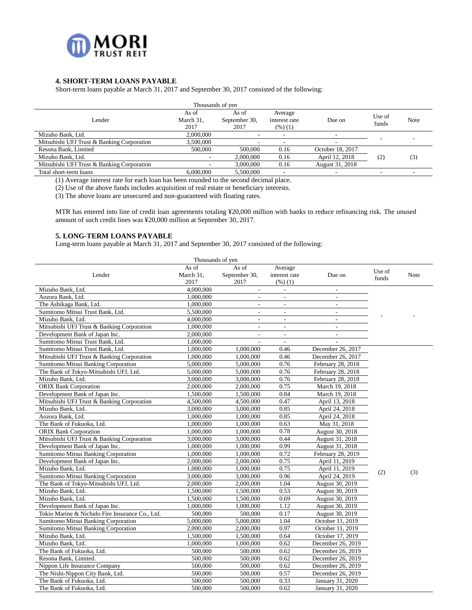

# **4. SHORT**-**TERM LOANS PAYABLE**

Short-term loans payable at March 31, 2017 and September 30, 2017 consisted of the following:

| Thousands of yen                           |                            |                                |                                     |                          |                 |      |
|--------------------------------------------|----------------------------|--------------------------------|-------------------------------------|--------------------------|-----------------|------|
| Lender                                     | As of<br>March 31,<br>2017 | As of<br>September 30,<br>2017 | Average<br>interest rate<br>(%) (1) | Due on                   | Use of<br>funds | Note |
| Mizuho Bank, Ltd.                          | 2,000,000                  | $\overline{\phantom{a}}$       |                                     | $\overline{\phantom{a}}$ |                 |      |
| Mitsubishi UFJ Trust & Banking Corporation | 3.500,000                  | ۰                              |                                     |                          |                 |      |
| Resona Bank, Limited                       | 500,000                    | 500,000                        | 0.16                                | October 18, 2017         |                 |      |
| Mizuho Bank, Ltd.                          |                            | 2,000,000                      | 0.16                                | April 12, 2018           | (2)             | (3)  |
| Mitsubishi UFJ Trust & Banking Corporation |                            | 3,000,000                      | 0.16                                | August 31, 2018          |                 |      |
| Total short-term loans                     | 6,000,000                  | 5.500,000                      |                                     | $\overline{\phantom{a}}$ |                 |      |

(1) Average interest rate for each loan has been rounded to the second decimal place.

(2) Use of the above funds includes acquisition of real estate or beneficiary interests.

(3) The above loans are unsecured and non-guaranteed with floating rates.

MTR has entered into line of credit loan agreements totaling ¥20,000 million with banks to reduce refinancing risk. The unused amount of such credit lines was ¥20,000 million at September 30, 2017.

### **5. LONG**-**TERM LOANS PAYABLE**

Long-term loans payable at March 31, 2017 and September 30, 2017 consisted of the following:

| As of<br>As of<br>Average<br>Use of<br>March 31,<br>September 30,<br>Lender<br>interest rate<br>Due on<br>Note<br>funds<br>2017<br>2017<br>(96)(1)<br>Mizuho Bank, Ltd.<br>4,000,000<br>$\overline{\phantom{a}}$<br>$\overline{\phantom{a}}$<br>Aozora Bank, Ltd.<br>1,000,000<br>$\overline{\phantom{a}}$<br>$\blacksquare$<br>$\sim$<br>The Ashikaga Bank, Ltd.<br>1,000,000<br>$\mathcal{L}_{\mathcal{A}}$<br>$\overline{\phantom{a}}$<br>$\overline{\phantom{a}}$<br>Sumitomo Mitsui Trust Bank, Ltd.<br>5,500,000<br>$\overline{\phantom{a}}$<br>$\overline{\phantom{a}}$<br>$\overline{\phantom{a}}$<br>Mizuho Bank, Ltd.<br>4,000,000<br>$\overline{\phantom{a}}$<br>$\overline{\phantom{a}}$<br>$\sim$<br>Mitsubishi UFJ Trust & Banking Corporation<br>1,000,000<br>$\overline{a}$<br>$\mathcal{L}^{\pm}$<br>÷.<br>Development Bank of Japan Inc.<br>2,000,000<br>$\blacksquare$<br>$\overline{\phantom{a}}$<br>$\overline{a}$<br>Sumitomo Mitsui Trust Bank, Ltd.<br>1,000,000<br>$\overline{\phantom{a}}$<br>Sumitomo Mitsui Trust Bank, Ltd.<br>1,000,000<br>1,000,000<br>0.46<br>December 26, 2017<br>Mitsubishi UFJ Trust & Banking Corporation<br>0.46<br>1,000,000<br>1,000,000<br>December 26, 2017<br>0.76<br>Sumitomo Mitsui Banking Corporation<br>5,000,000<br>5,000,000<br>February 28, 2018<br>The Bank of Tokyo-Mitsubishi UFJ, Ltd.<br>5,000,000<br>0.76<br>5,000,000<br>February 28, 2018<br>Mizuho Bank, Ltd.<br>3,000,000<br>3,000,000<br>0.76<br>February 28, 2018<br><b>ORIX Bank Corporation</b><br>0.75<br>2,000,000<br>2,000,000<br>March 19, 2018<br>0.84<br>Development Bank of Japan Inc.<br>1,500,000<br>1,500,000<br>March 19, 2018<br>Mitsubishi UFJ Trust & Banking Corporation<br>0.47<br>4,500,000<br>4,500,000<br>April 13, 2018<br>0.85<br>3,000,000<br>Mizuho Bank, Ltd.<br>3,000,000<br>April 24, 2018<br>0.85<br>Aozora Bank, Ltd.<br>1,000,000<br>1,000,000<br>April 24, 2018<br>The Bank of Fukuoka, Ltd.<br>1.000.000<br>1,000,000<br>0.63<br>May 31, 2018<br>0.78<br>1,000,000<br><b>ORIX Bank Corporation</b><br>1,000,000<br>August 30, 2018<br>Mitsubishi UFJ Trust & Banking Corporation<br>3,000,000<br>0.44<br>3,000,000<br>August 31, 2018<br>Development Bank of Japan Inc.<br>0.99<br>August 31, 2018<br>1,000,000<br>1,000,000<br>Sumitomo Mitsui Banking Corporation<br>0.72<br>1,000,000<br>1,000,000<br>February 28, 2019<br>0.75<br>2,000,000<br>Development Bank of Japan Inc.<br>2,000,000<br>April 11, 2019<br>Mizuho Bank, Ltd.<br>1,000,000<br>1,000,000<br>0.75<br>April 11, 2019<br>(2)<br>(3)<br>Sumitomo Mitsui Banking Corporation<br>0.96<br>3,000,000<br>3,000,000<br>April 24, 2019<br>1.04<br>The Bank of Tokyo-Mitsubishi UFJ, Ltd.<br>2,000,000<br>2,000,000<br>August 30, 2019<br>Mizuho Bank, Ltd.<br>1,500,000<br>1,500,000<br>0.53<br>August 30, 2019 |
|--------------------------------------------------------------------------------------------------------------------------------------------------------------------------------------------------------------------------------------------------------------------------------------------------------------------------------------------------------------------------------------------------------------------------------------------------------------------------------------------------------------------------------------------------------------------------------------------------------------------------------------------------------------------------------------------------------------------------------------------------------------------------------------------------------------------------------------------------------------------------------------------------------------------------------------------------------------------------------------------------------------------------------------------------------------------------------------------------------------------------------------------------------------------------------------------------------------------------------------------------------------------------------------------------------------------------------------------------------------------------------------------------------------------------------------------------------------------------------------------------------------------------------------------------------------------------------------------------------------------------------------------------------------------------------------------------------------------------------------------------------------------------------------------------------------------------------------------------------------------------------------------------------------------------------------------------------------------------------------------------------------------------------------------------------------------------------------------------------------------------------------------------------------------------------------------------------------------------------------------------------------------------------------------------------------------------------------------------------------------------------------------------------------------------------------------------------------------------------------------------------------------------------------------------------------------------------------------------------------------------------------------------------------------------------------------------------------------------------------------------------------------------------------------------------------------------------------------|
|                                                                                                                                                                                                                                                                                                                                                                                                                                                                                                                                                                                                                                                                                                                                                                                                                                                                                                                                                                                                                                                                                                                                                                                                                                                                                                                                                                                                                                                                                                                                                                                                                                                                                                                                                                                                                                                                                                                                                                                                                                                                                                                                                                                                                                                                                                                                                                                                                                                                                                                                                                                                                                                                                                                                                                                                                                            |
|                                                                                                                                                                                                                                                                                                                                                                                                                                                                                                                                                                                                                                                                                                                                                                                                                                                                                                                                                                                                                                                                                                                                                                                                                                                                                                                                                                                                                                                                                                                                                                                                                                                                                                                                                                                                                                                                                                                                                                                                                                                                                                                                                                                                                                                                                                                                                                                                                                                                                                                                                                                                                                                                                                                                                                                                                                            |
|                                                                                                                                                                                                                                                                                                                                                                                                                                                                                                                                                                                                                                                                                                                                                                                                                                                                                                                                                                                                                                                                                                                                                                                                                                                                                                                                                                                                                                                                                                                                                                                                                                                                                                                                                                                                                                                                                                                                                                                                                                                                                                                                                                                                                                                                                                                                                                                                                                                                                                                                                                                                                                                                                                                                                                                                                                            |
|                                                                                                                                                                                                                                                                                                                                                                                                                                                                                                                                                                                                                                                                                                                                                                                                                                                                                                                                                                                                                                                                                                                                                                                                                                                                                                                                                                                                                                                                                                                                                                                                                                                                                                                                                                                                                                                                                                                                                                                                                                                                                                                                                                                                                                                                                                                                                                                                                                                                                                                                                                                                                                                                                                                                                                                                                                            |
|                                                                                                                                                                                                                                                                                                                                                                                                                                                                                                                                                                                                                                                                                                                                                                                                                                                                                                                                                                                                                                                                                                                                                                                                                                                                                                                                                                                                                                                                                                                                                                                                                                                                                                                                                                                                                                                                                                                                                                                                                                                                                                                                                                                                                                                                                                                                                                                                                                                                                                                                                                                                                                                                                                                                                                                                                                            |
|                                                                                                                                                                                                                                                                                                                                                                                                                                                                                                                                                                                                                                                                                                                                                                                                                                                                                                                                                                                                                                                                                                                                                                                                                                                                                                                                                                                                                                                                                                                                                                                                                                                                                                                                                                                                                                                                                                                                                                                                                                                                                                                                                                                                                                                                                                                                                                                                                                                                                                                                                                                                                                                                                                                                                                                                                                            |
|                                                                                                                                                                                                                                                                                                                                                                                                                                                                                                                                                                                                                                                                                                                                                                                                                                                                                                                                                                                                                                                                                                                                                                                                                                                                                                                                                                                                                                                                                                                                                                                                                                                                                                                                                                                                                                                                                                                                                                                                                                                                                                                                                                                                                                                                                                                                                                                                                                                                                                                                                                                                                                                                                                                                                                                                                                            |
|                                                                                                                                                                                                                                                                                                                                                                                                                                                                                                                                                                                                                                                                                                                                                                                                                                                                                                                                                                                                                                                                                                                                                                                                                                                                                                                                                                                                                                                                                                                                                                                                                                                                                                                                                                                                                                                                                                                                                                                                                                                                                                                                                                                                                                                                                                                                                                                                                                                                                                                                                                                                                                                                                                                                                                                                                                            |
|                                                                                                                                                                                                                                                                                                                                                                                                                                                                                                                                                                                                                                                                                                                                                                                                                                                                                                                                                                                                                                                                                                                                                                                                                                                                                                                                                                                                                                                                                                                                                                                                                                                                                                                                                                                                                                                                                                                                                                                                                                                                                                                                                                                                                                                                                                                                                                                                                                                                                                                                                                                                                                                                                                                                                                                                                                            |
|                                                                                                                                                                                                                                                                                                                                                                                                                                                                                                                                                                                                                                                                                                                                                                                                                                                                                                                                                                                                                                                                                                                                                                                                                                                                                                                                                                                                                                                                                                                                                                                                                                                                                                                                                                                                                                                                                                                                                                                                                                                                                                                                                                                                                                                                                                                                                                                                                                                                                                                                                                                                                                                                                                                                                                                                                                            |
|                                                                                                                                                                                                                                                                                                                                                                                                                                                                                                                                                                                                                                                                                                                                                                                                                                                                                                                                                                                                                                                                                                                                                                                                                                                                                                                                                                                                                                                                                                                                                                                                                                                                                                                                                                                                                                                                                                                                                                                                                                                                                                                                                                                                                                                                                                                                                                                                                                                                                                                                                                                                                                                                                                                                                                                                                                            |
|                                                                                                                                                                                                                                                                                                                                                                                                                                                                                                                                                                                                                                                                                                                                                                                                                                                                                                                                                                                                                                                                                                                                                                                                                                                                                                                                                                                                                                                                                                                                                                                                                                                                                                                                                                                                                                                                                                                                                                                                                                                                                                                                                                                                                                                                                                                                                                                                                                                                                                                                                                                                                                                                                                                                                                                                                                            |
|                                                                                                                                                                                                                                                                                                                                                                                                                                                                                                                                                                                                                                                                                                                                                                                                                                                                                                                                                                                                                                                                                                                                                                                                                                                                                                                                                                                                                                                                                                                                                                                                                                                                                                                                                                                                                                                                                                                                                                                                                                                                                                                                                                                                                                                                                                                                                                                                                                                                                                                                                                                                                                                                                                                                                                                                                                            |
|                                                                                                                                                                                                                                                                                                                                                                                                                                                                                                                                                                                                                                                                                                                                                                                                                                                                                                                                                                                                                                                                                                                                                                                                                                                                                                                                                                                                                                                                                                                                                                                                                                                                                                                                                                                                                                                                                                                                                                                                                                                                                                                                                                                                                                                                                                                                                                                                                                                                                                                                                                                                                                                                                                                                                                                                                                            |
|                                                                                                                                                                                                                                                                                                                                                                                                                                                                                                                                                                                                                                                                                                                                                                                                                                                                                                                                                                                                                                                                                                                                                                                                                                                                                                                                                                                                                                                                                                                                                                                                                                                                                                                                                                                                                                                                                                                                                                                                                                                                                                                                                                                                                                                                                                                                                                                                                                                                                                                                                                                                                                                                                                                                                                                                                                            |
|                                                                                                                                                                                                                                                                                                                                                                                                                                                                                                                                                                                                                                                                                                                                                                                                                                                                                                                                                                                                                                                                                                                                                                                                                                                                                                                                                                                                                                                                                                                                                                                                                                                                                                                                                                                                                                                                                                                                                                                                                                                                                                                                                                                                                                                                                                                                                                                                                                                                                                                                                                                                                                                                                                                                                                                                                                            |
|                                                                                                                                                                                                                                                                                                                                                                                                                                                                                                                                                                                                                                                                                                                                                                                                                                                                                                                                                                                                                                                                                                                                                                                                                                                                                                                                                                                                                                                                                                                                                                                                                                                                                                                                                                                                                                                                                                                                                                                                                                                                                                                                                                                                                                                                                                                                                                                                                                                                                                                                                                                                                                                                                                                                                                                                                                            |
|                                                                                                                                                                                                                                                                                                                                                                                                                                                                                                                                                                                                                                                                                                                                                                                                                                                                                                                                                                                                                                                                                                                                                                                                                                                                                                                                                                                                                                                                                                                                                                                                                                                                                                                                                                                                                                                                                                                                                                                                                                                                                                                                                                                                                                                                                                                                                                                                                                                                                                                                                                                                                                                                                                                                                                                                                                            |
|                                                                                                                                                                                                                                                                                                                                                                                                                                                                                                                                                                                                                                                                                                                                                                                                                                                                                                                                                                                                                                                                                                                                                                                                                                                                                                                                                                                                                                                                                                                                                                                                                                                                                                                                                                                                                                                                                                                                                                                                                                                                                                                                                                                                                                                                                                                                                                                                                                                                                                                                                                                                                                                                                                                                                                                                                                            |
|                                                                                                                                                                                                                                                                                                                                                                                                                                                                                                                                                                                                                                                                                                                                                                                                                                                                                                                                                                                                                                                                                                                                                                                                                                                                                                                                                                                                                                                                                                                                                                                                                                                                                                                                                                                                                                                                                                                                                                                                                                                                                                                                                                                                                                                                                                                                                                                                                                                                                                                                                                                                                                                                                                                                                                                                                                            |
|                                                                                                                                                                                                                                                                                                                                                                                                                                                                                                                                                                                                                                                                                                                                                                                                                                                                                                                                                                                                                                                                                                                                                                                                                                                                                                                                                                                                                                                                                                                                                                                                                                                                                                                                                                                                                                                                                                                                                                                                                                                                                                                                                                                                                                                                                                                                                                                                                                                                                                                                                                                                                                                                                                                                                                                                                                            |
|                                                                                                                                                                                                                                                                                                                                                                                                                                                                                                                                                                                                                                                                                                                                                                                                                                                                                                                                                                                                                                                                                                                                                                                                                                                                                                                                                                                                                                                                                                                                                                                                                                                                                                                                                                                                                                                                                                                                                                                                                                                                                                                                                                                                                                                                                                                                                                                                                                                                                                                                                                                                                                                                                                                                                                                                                                            |
|                                                                                                                                                                                                                                                                                                                                                                                                                                                                                                                                                                                                                                                                                                                                                                                                                                                                                                                                                                                                                                                                                                                                                                                                                                                                                                                                                                                                                                                                                                                                                                                                                                                                                                                                                                                                                                                                                                                                                                                                                                                                                                                                                                                                                                                                                                                                                                                                                                                                                                                                                                                                                                                                                                                                                                                                                                            |
|                                                                                                                                                                                                                                                                                                                                                                                                                                                                                                                                                                                                                                                                                                                                                                                                                                                                                                                                                                                                                                                                                                                                                                                                                                                                                                                                                                                                                                                                                                                                                                                                                                                                                                                                                                                                                                                                                                                                                                                                                                                                                                                                                                                                                                                                                                                                                                                                                                                                                                                                                                                                                                                                                                                                                                                                                                            |
|                                                                                                                                                                                                                                                                                                                                                                                                                                                                                                                                                                                                                                                                                                                                                                                                                                                                                                                                                                                                                                                                                                                                                                                                                                                                                                                                                                                                                                                                                                                                                                                                                                                                                                                                                                                                                                                                                                                                                                                                                                                                                                                                                                                                                                                                                                                                                                                                                                                                                                                                                                                                                                                                                                                                                                                                                                            |
|                                                                                                                                                                                                                                                                                                                                                                                                                                                                                                                                                                                                                                                                                                                                                                                                                                                                                                                                                                                                                                                                                                                                                                                                                                                                                                                                                                                                                                                                                                                                                                                                                                                                                                                                                                                                                                                                                                                                                                                                                                                                                                                                                                                                                                                                                                                                                                                                                                                                                                                                                                                                                                                                                                                                                                                                                                            |
|                                                                                                                                                                                                                                                                                                                                                                                                                                                                                                                                                                                                                                                                                                                                                                                                                                                                                                                                                                                                                                                                                                                                                                                                                                                                                                                                                                                                                                                                                                                                                                                                                                                                                                                                                                                                                                                                                                                                                                                                                                                                                                                                                                                                                                                                                                                                                                                                                                                                                                                                                                                                                                                                                                                                                                                                                                            |
|                                                                                                                                                                                                                                                                                                                                                                                                                                                                                                                                                                                                                                                                                                                                                                                                                                                                                                                                                                                                                                                                                                                                                                                                                                                                                                                                                                                                                                                                                                                                                                                                                                                                                                                                                                                                                                                                                                                                                                                                                                                                                                                                                                                                                                                                                                                                                                                                                                                                                                                                                                                                                                                                                                                                                                                                                                            |
|                                                                                                                                                                                                                                                                                                                                                                                                                                                                                                                                                                                                                                                                                                                                                                                                                                                                                                                                                                                                                                                                                                                                                                                                                                                                                                                                                                                                                                                                                                                                                                                                                                                                                                                                                                                                                                                                                                                                                                                                                                                                                                                                                                                                                                                                                                                                                                                                                                                                                                                                                                                                                                                                                                                                                                                                                                            |
|                                                                                                                                                                                                                                                                                                                                                                                                                                                                                                                                                                                                                                                                                                                                                                                                                                                                                                                                                                                                                                                                                                                                                                                                                                                                                                                                                                                                                                                                                                                                                                                                                                                                                                                                                                                                                                                                                                                                                                                                                                                                                                                                                                                                                                                                                                                                                                                                                                                                                                                                                                                                                                                                                                                                                                                                                                            |
|                                                                                                                                                                                                                                                                                                                                                                                                                                                                                                                                                                                                                                                                                                                                                                                                                                                                                                                                                                                                                                                                                                                                                                                                                                                                                                                                                                                                                                                                                                                                                                                                                                                                                                                                                                                                                                                                                                                                                                                                                                                                                                                                                                                                                                                                                                                                                                                                                                                                                                                                                                                                                                                                                                                                                                                                                                            |
| 0.69<br>Mizuho Bank, Ltd.<br>1,500,000<br>1,500,000<br>August 30, 2019                                                                                                                                                                                                                                                                                                                                                                                                                                                                                                                                                                                                                                                                                                                                                                                                                                                                                                                                                                                                                                                                                                                                                                                                                                                                                                                                                                                                                                                                                                                                                                                                                                                                                                                                                                                                                                                                                                                                                                                                                                                                                                                                                                                                                                                                                                                                                                                                                                                                                                                                                                                                                                                                                                                                                                     |
| 1.12<br>Development Bank of Japan Inc.<br>1,000,000<br>1.000.000<br>August 30, 2019                                                                                                                                                                                                                                                                                                                                                                                                                                                                                                                                                                                                                                                                                                                                                                                                                                                                                                                                                                                                                                                                                                                                                                                                                                                                                                                                                                                                                                                                                                                                                                                                                                                                                                                                                                                                                                                                                                                                                                                                                                                                                                                                                                                                                                                                                                                                                                                                                                                                                                                                                                                                                                                                                                                                                        |
| Tokio Marine & Nichido Fire Insurance Co., Ltd.<br>500,000<br>500,000<br>0.17<br>August 30, 2019                                                                                                                                                                                                                                                                                                                                                                                                                                                                                                                                                                                                                                                                                                                                                                                                                                                                                                                                                                                                                                                                                                                                                                                                                                                                                                                                                                                                                                                                                                                                                                                                                                                                                                                                                                                                                                                                                                                                                                                                                                                                                                                                                                                                                                                                                                                                                                                                                                                                                                                                                                                                                                                                                                                                           |
| Sumitomo Mitsui Banking Corporation<br>1.04<br>5,000,000<br>5,000,000<br>October 11, 2019                                                                                                                                                                                                                                                                                                                                                                                                                                                                                                                                                                                                                                                                                                                                                                                                                                                                                                                                                                                                                                                                                                                                                                                                                                                                                                                                                                                                                                                                                                                                                                                                                                                                                                                                                                                                                                                                                                                                                                                                                                                                                                                                                                                                                                                                                                                                                                                                                                                                                                                                                                                                                                                                                                                                                  |
| 0.97<br>Sumitomo Mitsui Banking Corporation<br>2,000,000<br>2,000,000<br>October 11, 2019                                                                                                                                                                                                                                                                                                                                                                                                                                                                                                                                                                                                                                                                                                                                                                                                                                                                                                                                                                                                                                                                                                                                                                                                                                                                                                                                                                                                                                                                                                                                                                                                                                                                                                                                                                                                                                                                                                                                                                                                                                                                                                                                                                                                                                                                                                                                                                                                                                                                                                                                                                                                                                                                                                                                                  |
| Mizuho Bank, Ltd.<br>0.64<br>October 17, 2019<br>1,500,000<br>1,500,000                                                                                                                                                                                                                                                                                                                                                                                                                                                                                                                                                                                                                                                                                                                                                                                                                                                                                                                                                                                                                                                                                                                                                                                                                                                                                                                                                                                                                                                                                                                                                                                                                                                                                                                                                                                                                                                                                                                                                                                                                                                                                                                                                                                                                                                                                                                                                                                                                                                                                                                                                                                                                                                                                                                                                                    |
| Mizuho Bank, Ltd.<br>1,000,000<br>1,000,000<br>0.62<br>December 26, 2019                                                                                                                                                                                                                                                                                                                                                                                                                                                                                                                                                                                                                                                                                                                                                                                                                                                                                                                                                                                                                                                                                                                                                                                                                                                                                                                                                                                                                                                                                                                                                                                                                                                                                                                                                                                                                                                                                                                                                                                                                                                                                                                                                                                                                                                                                                                                                                                                                                                                                                                                                                                                                                                                                                                                                                   |
| 0.62<br>The Bank of Fukuoka, Ltd.<br>500,000<br>500,000<br>December 26, 2019                                                                                                                                                                                                                                                                                                                                                                                                                                                                                                                                                                                                                                                                                                                                                                                                                                                                                                                                                                                                                                                                                                                                                                                                                                                                                                                                                                                                                                                                                                                                                                                                                                                                                                                                                                                                                                                                                                                                                                                                                                                                                                                                                                                                                                                                                                                                                                                                                                                                                                                                                                                                                                                                                                                                                               |
| 500,000<br>500,000<br>0.62<br>December 26, 2019<br>Resona Bank, Limited.                                                                                                                                                                                                                                                                                                                                                                                                                                                                                                                                                                                                                                                                                                                                                                                                                                                                                                                                                                                                                                                                                                                                                                                                                                                                                                                                                                                                                                                                                                                                                                                                                                                                                                                                                                                                                                                                                                                                                                                                                                                                                                                                                                                                                                                                                                                                                                                                                                                                                                                                                                                                                                                                                                                                                                   |
| 500,000<br>500,000<br>0.62<br>Nippon Life Insurance Company<br>December 26, 2019                                                                                                                                                                                                                                                                                                                                                                                                                                                                                                                                                                                                                                                                                                                                                                                                                                                                                                                                                                                                                                                                                                                                                                                                                                                                                                                                                                                                                                                                                                                                                                                                                                                                                                                                                                                                                                                                                                                                                                                                                                                                                                                                                                                                                                                                                                                                                                                                                                                                                                                                                                                                                                                                                                                                                           |
| 0.57<br>500,000<br>The Nishi-Nippon City Bank, Ltd.<br>500,000<br>December 26, 2019                                                                                                                                                                                                                                                                                                                                                                                                                                                                                                                                                                                                                                                                                                                                                                                                                                                                                                                                                                                                                                                                                                                                                                                                                                                                                                                                                                                                                                                                                                                                                                                                                                                                                                                                                                                                                                                                                                                                                                                                                                                                                                                                                                                                                                                                                                                                                                                                                                                                                                                                                                                                                                                                                                                                                        |
| 0.33<br>The Bank of Fukuoka, Ltd.<br>500,000<br>500,000<br>January 31, 2020                                                                                                                                                                                                                                                                                                                                                                                                                                                                                                                                                                                                                                                                                                                                                                                                                                                                                                                                                                                                                                                                                                                                                                                                                                                                                                                                                                                                                                                                                                                                                                                                                                                                                                                                                                                                                                                                                                                                                                                                                                                                                                                                                                                                                                                                                                                                                                                                                                                                                                                                                                                                                                                                                                                                                                |
| 0.62<br>The Bank of Fukuoka, Ltd.<br>500,000<br>500,000<br>January 31, 2020                                                                                                                                                                                                                                                                                                                                                                                                                                                                                                                                                                                                                                                                                                                                                                                                                                                                                                                                                                                                                                                                                                                                                                                                                                                                                                                                                                                                                                                                                                                                                                                                                                                                                                                                                                                                                                                                                                                                                                                                                                                                                                                                                                                                                                                                                                                                                                                                                                                                                                                                                                                                                                                                                                                                                                |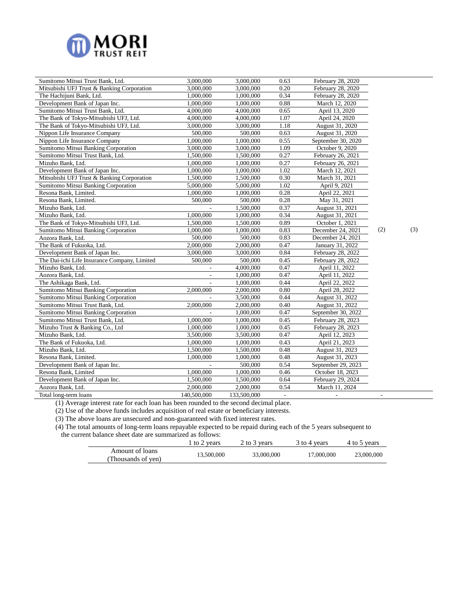

| Sumitomo Mitsui Trust Bank, Ltd.             | 3,000,000   | 3,000,000   | 0.63          | February 28, 2020        |                |
|----------------------------------------------|-------------|-------------|---------------|--------------------------|----------------|
| Mitsubishi UFJ Trust & Banking Corporation   | 3,000,000   | 3,000,000   | 0.20          | February 28, 2020        |                |
| The Hachijuni Bank, Ltd.                     | 1,000,000   | 1,000,000   | 0.34          | February 28, 2020        |                |
| Development Bank of Japan Inc.               | 1,000,000   | 1,000,000   | 0.88          | March 12, 2020           |                |
| Sumitomo Mitsui Trust Bank, Ltd.             | 4,000,000   | 4,000,000   | 0.65          | April 13, 2020           |                |
| The Bank of Tokyo-Mitsubishi UFJ, Ltd.       | 4,000,000   | 4,000,000   | 1.07          | April 24, 2020           |                |
| The Bank of Tokyo-Mitsubishi UFJ, Ltd.       | 3,000,000   | 3,000,000   | 1.18          | August 31, 2020          |                |
| Nippon Life Insurance Company                | 500,000     | 500,000     | 0.63          | August 31, 2020          |                |
| Nippon Life Insurance Company                | 1,000,000   | 1,000,000   | 0.55          | September 30, 2020       |                |
| Sumitomo Mitsui Banking Corporation          | 3,000,000   | 3,000,000   | 1.09          | October 9, 2020          |                |
| Sumitomo Mitsui Trust Bank, Ltd.             | 1,500,000   | 1,500,000   | 0.27          | February 26, 2021        |                |
| Mizuho Bank, Ltd.                            | 1,000,000   | 1,000,000   | 0.27          | February 26, 2021        |                |
| Development Bank of Japan Inc.               | 1,000,000   | 1,000,000   | 1.02          | March 12, 2021           |                |
| Mitsubishi UFJ Trust & Banking Corporation   | 1,500,000   | 1,500,000   | 0.30          | March 31, 2021           |                |
| Sumitomo Mitsui Banking Corporation          | 5,000,000   | 5,000,000   | 1.02          | April 9, 2021            |                |
| Resona Bank, Limited.                        | 1,000,000   | 1,000,000   | 0.28          | April 22, 2021           |                |
| Resona Bank, Limited.                        | 500,000     | 500,000     | 0.28          | May 31, 2021             |                |
| Mizuho Bank, Ltd.                            |             | 1,500,000   | 0.37          | August 31, 2021          |                |
| Mizuho Bank, Ltd.                            | 1,000,000   | 1,000,000   | 0.34          | August 31, 2021          |                |
| The Bank of Tokyo-Mitsubishi UFJ, Ltd.       | 1,500,000   | 1,500,000   | 0.89          | October 1, 2021          |                |
| Sumitomo Mitsui Banking Corporation          | 1,000,000   | 1,000,000   | 0.83          | December 24, 2021        | (2)            |
| Aozora Bank, Ltd.                            | 500,000     | 500,000     | 0.83          | December 24, 2021        |                |
| The Bank of Fukuoka, Ltd.                    | 2,000,000   | 2,000,000   | 0.47          | January 31, 2022         |                |
| Development Bank of Japan Inc.               | 3,000,000   | 3,000,000   | 0.84          | February 28, 2022        |                |
| The Dai-ichi Life Insurance Company, Limited | 500,000     | 500,000     | 0.45          | February 28, 2022        |                |
| Mizuho Bank, Ltd.                            |             | 4,000,000   | 0.47          | April 11, 2022           |                |
| Aozora Bank, Ltd.                            |             | 1,000,000   | 0.47          | April 11, 2022           |                |
| The Ashikaga Bank, Ltd.                      |             | 1,000,000   | 0.44          | April 22, 2022           |                |
| Sumitomo Mitsui Banking Corporation          | 2,000,000   | 2,000,000   | 0.80          | April 28, 2022           |                |
| Sumitomo Mitsui Banking Corporation          |             | 3,500,000   | 0.44          | August 31, 2022          |                |
| Sumitomo Mitsui Trust Bank, Ltd.             | 2,000,000   | 2,000,000   | 0.40          | August 31, 2022          |                |
| Sumitomo Mitsui Banking Corporation          |             | 1,000,000   | 0.47          | September 30, 2022       |                |
| Sumitomo Mitsui Trust Bank, Ltd.             | 1,000,000   | 1,000,000   | 0.45          | February 28, 2023        |                |
| Mizuho Trust & Banking Co., Ltd              | 1,000,000   | 1,000,000   | 0.45          | February 28, 2023        |                |
| Mizuho Bank, Ltd.                            | 3,500,000   | 3,500,000   | 0.47          | April 12, 2023           |                |
| The Bank of Fukuoka, Ltd.                    | 1,000,000   | 1,000,000   | 0.43          | April 21, 2023           |                |
| Mizuho Bank, Ltd.                            | 1,500,000   | 1,500,000   | 0.48          | August 31, 2023          |                |
| Resona Bank, Limited.                        | 1,000,000   | 1,000,000   | 0.48          | August 31, 2023          |                |
| Development Bank of Japan Inc.               |             | 500,000     | 0.54          | September 29, 2023       |                |
| Resona Bank, Limited                         | 1,000,000   | 1,000,000   | 0.46          | October 18, 2023         |                |
| Development Bank of Japan Inc.               | 1,500,000   | 1,500,000   | 0.64          | February 29, 2024        |                |
| Aozora Bank, Ltd.                            | 2,000,000   | 2,000,000   | 0.54          | March 11, 2024           |                |
| Total long-term loans                        | 140,500,000 | 133,500,000 | $\mathcal{L}$ | $\overline{\phantom{a}}$ | $\blacksquare$ |

(1) Average interest rate for each loan has been rounded to the second decimal place.

(2) Use of the above funds includes acquisition of real estate or beneficiary interests.

(3) The above loans are unsecured and non-guaranteed with fixed interest rates.

(4) The total amounts of long-term loans repayable expected to be repaid during each of the 5 years subsequent to

the current balance sheet date are summarized as follows:<br>1 to 2 years

|                                       | to 2 years | 2 to 3 years | 3 to 4 years | 4 to 5 years |
|---------------------------------------|------------|--------------|--------------|--------------|
| Amount of loans<br>(Thousands of yen) | 13.500,000 | 33,000,000   | 17,000,000   | 23,000,000   |

 $(3)$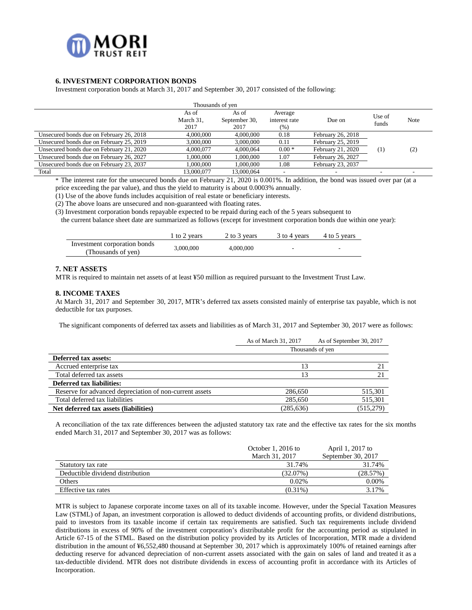

### **6. INVESTMENT CORPORATION BONDS**

Investment corporation bonds at March 31, 2017 and September 30, 2017 consisted of the following:

|                                          | Thousands of yen           |                                |                                  |                   |                 |                   |
|------------------------------------------|----------------------------|--------------------------------|----------------------------------|-------------------|-----------------|-------------------|
|                                          | As of<br>March 31,<br>2017 | As of<br>September 30,<br>2017 | Average<br>interest rate<br>(% ) | Due on            | Use of<br>funds | Note              |
| Unsecured bonds due on February 26, 2018 | 4,000,000                  | 4,000,000                      | 0.18                             | February 26, 2018 |                 |                   |
| Unsecured bonds due on February 25, 2019 | 3,000,000                  | 3,000,000                      | 0.11                             | February 25, 2019 |                 |                   |
| Unsecured bonds due on February 21, 2020 | 4,000,077                  | 4.000.064                      | $0.00*$                          | February 21, 2020 | (1)             | $\left( 2\right)$ |
| Unsecured bonds due on February 26, 2027 | 1,000,000                  | 1,000,000                      | 1.07                             | February 26, 2027 |                 |                   |
| Unsecured bonds due on February 23, 2037 | 1.000.000                  | 1,000,000                      | 1.08                             | February 23, 2037 |                 |                   |
| Total                                    | 13,000,077                 | 13,000,064                     |                                  |                   |                 |                   |

\* The interest rate for the unsecured bonds due on February 21, 2020 is 0.001%. In addition, the bond was issued over par (at a price exceeding the par value), and thus the yield to maturity is about 0.0003% annually.

(1) Use of the above funds includes acquisition of real estate or beneficiary interests.

(2) The above loans are unsecured and non-guaranteed with floating rates.

(3) Investment corporation bonds repayable expected to be repaid during each of the 5 years subsequent to

the current balance sheet date are summarized as follows (except for investment corporation bonds due within one year):

|                                                    | to 2 years | 2 to 3 years | 3 to 4 years | 4 to 5 years |
|----------------------------------------------------|------------|--------------|--------------|--------------|
| Investment corporation bonds<br>(Thousands of ven) | 3,000,000  | 4,000,000    | -            |              |

### **7. NET ASSETS**

MTR is required to maintain net assets of at least ¥50 million as required pursuant to the Investment Trust Law.

#### **8. INCOME TAXES**

At March 31, 2017 and September 30, 2017, MTR's deferred tax assets consisted mainly of enterprise tax payable, which is not deductible for tax purposes.

The significant components of deferred tax assets and liabilities as of March 31, 2017 and September 30, 2017 were as follows:

|                                                         | As of March 31, 2017 | As of September 30, 2017 |
|---------------------------------------------------------|----------------------|--------------------------|
|                                                         |                      | Thousands of yen         |
| <b>Deferred tax assets:</b>                             |                      |                          |
| Accrued enterprise tax                                  | 13                   | 21                       |
| Total deferred tax assets                               | 13                   | 21                       |
| <b>Deferred tax liabilities:</b>                        |                      |                          |
| Reserve for advanced depreciation of non-current assets | 286,650              | 515,301                  |
| Total deferred tax liabilities                          | 285,650              | 515,301                  |
| Net deferred tax assets (liabilities)                   | (285, 636)           | (515, 279)               |

A reconciliation of the tax rate differences between the adjusted statutory tax rate and the effective tax rates for the six months ended March 31, 2017 and September 30, 2017 was as follows:

|                                  | October 1, 2016 to | April 1, 2017 to   |
|----------------------------------|--------------------|--------------------|
|                                  | March 31, 2017     | September 30, 2017 |
| Statutory tax rate               | 31.74%             | 31.74%             |
| Deductible dividend distribution | (32.07%)           | (28.57%)           |
| Others                           | $0.02\%$           | 0.00%              |
| Effective tax rates              | $(0.31\%)$         | 3.17%              |

MTR is subject to Japanese corporate income taxes on all of its taxable income. However, under the Special Taxation Measures Law (STML) of Japan, an investment corporation is allowed to deduct dividends of accounting profits, or dividend distributions, paid to investors from its taxable income if certain tax requirements are satisfied. Such tax requirements include dividend distributions in excess of 90% of the investment corporation's distributable profit for the accounting period as stipulated in Article 67-15 of the STML. Based on the distribution policy provided by its Articles of Incorporation, MTR made a dividend distribution in the amount of ¥6,552,480 thousand at September 30, 2017 which is approximately 100% of retained earnings after deducting reserve for advanced depreciation of non-current assets associated with the gain on sales of land and treated it as a tax-deductible dividend. MTR does not distribute dividends in excess of accounting profit in accordance with its Articles of Incorporation.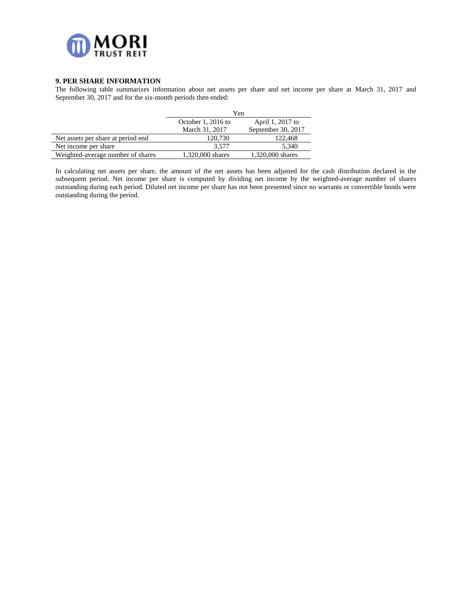

### **9. PER SHARE INFORMATION**

The following table summarizes information about net assets per share and net income per share at March 31, 2017 and September 30, 2017 and for the six-month periods then ended:

|                                     | Yen                |                    |
|-------------------------------------|--------------------|--------------------|
|                                     | October 1, 2016 to | April 1, 2017 to   |
|                                     | March 31, 2017     | September 30, 2017 |
| Net assets per share at period end. | 120,730            | 122,468            |
| Net income per share                | 3.577              | 5.340              |
| Weighted-average number of shares   | 1.320,000 shares   | 1.320,000 shares   |

In calculating net assets per share, the amount of the net assets has been adjusted for the cash distribution declared in the subsequent period. Net income per share is computed by dividing net income by the weighted-average number of shares outstanding during each period. Diluted net income per share has not been presented since no warrants or convertible bonds were outstanding during the period.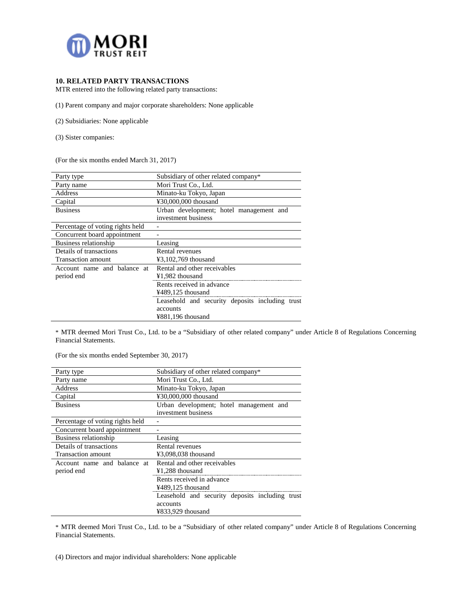

# **10. RELATED PARTY TRANSACTIONS**

MTR entered into the following related party transactions:

(1) Parent company and major corporate shareholders: None applicable

- (2) Subsidiaries: None applicable
- (3) Sister companies:

(For the six months ended March 31, 2017)

| Party type                       | Subsidiary of other related company*            |  |  |
|----------------------------------|-------------------------------------------------|--|--|
| Party name                       | Mori Trust Co., Ltd.                            |  |  |
| Address                          | Minato-ku Tokyo, Japan                          |  |  |
| Capital                          | ¥30,000,000 thousand                            |  |  |
| <b>Business</b>                  | Urban development; hotel management and         |  |  |
|                                  | investment business                             |  |  |
| Percentage of voting rights held |                                                 |  |  |
| Concurrent board appointment     |                                                 |  |  |
| Business relationship            | Leasing                                         |  |  |
| Details of transactions          | Rental revenues                                 |  |  |
| Transaction amount               | $43,102,769$ thousand                           |  |  |
| Account name and balance at      | Rental and other receivables                    |  |  |
| period end                       | ¥1,982 thousand                                 |  |  |
|                                  | Rents received in advance                       |  |  |
|                                  | ¥489,125 thousand                               |  |  |
|                                  | Leasehold and security deposits including trust |  |  |
|                                  | accounts                                        |  |  |
|                                  | ¥881,196 thousand                               |  |  |

\* MTR deemed Mori Trust Co., Ltd. to be a "Subsidiary of other related company" under Article 8 of Regulations Concerning Financial Statements.

(For the six months ended September 30, 2017)

| Party type                       | Subsidiary of other related company*            |  |  |
|----------------------------------|-------------------------------------------------|--|--|
| Party name                       | Mori Trust Co., Ltd.                            |  |  |
| Address                          | Minato-ku Tokyo, Japan                          |  |  |
| Capital                          | ¥30,000,000 thousand                            |  |  |
| <b>Business</b>                  | Urban development; hotel management and         |  |  |
|                                  | investment business                             |  |  |
| Percentage of voting rights held |                                                 |  |  |
| Concurrent board appointment     |                                                 |  |  |
| Business relationship            | Leasing                                         |  |  |
| Details of transactions          | Rental revenues                                 |  |  |
| Transaction amount               | ¥3,098,038 thousand                             |  |  |
| Account name and balance at      | Rental and other receivables                    |  |  |
| period end                       | $¥1,288$ thousand                               |  |  |
|                                  | Rents received in advance                       |  |  |
|                                  | $4489,125$ thousand                             |  |  |
|                                  | Leasehold and security deposits including trust |  |  |
|                                  | accounts                                        |  |  |
|                                  | ¥833,929 thousand                               |  |  |

\* MTR deemed Mori Trust Co., Ltd. to be a "Subsidiary of other related company" under Article 8 of Regulations Concerning Financial Statements.

(4) Directors and major individual shareholders: None applicable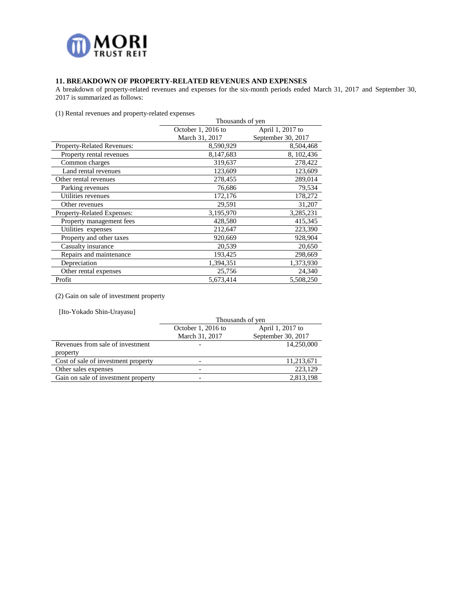

# **11. BREAKDOWN OF PROPERTY-RELATED REVENUES AND EXPENSES**

A breakdown of property-related revenues and expenses for the six-month periods ended March 31, 2017 and September 30, 2017 is summarized as follows:

(1) Rental revenues and property-related expenses

| $(1)$ retain revenues and property retailed expenses | Thousands of yen   |                    |  |
|------------------------------------------------------|--------------------|--------------------|--|
|                                                      | October 1, 2016 to | April 1, 2017 to   |  |
|                                                      | March 31, 2017     | September 30, 2017 |  |
| <b>Property-Related Revenues:</b>                    | 8,590,929          | 8,504,468          |  |
| Property rental revenues                             | 8,147,683          | 8, 102, 436        |  |
| Common charges                                       | 319,637            | 278,422            |  |
| Land rental revenues                                 | 123,609            | 123,609            |  |
| Other rental revenues                                | 278,455            | 289,014            |  |
| Parking revenues                                     | 76,686             | 79,534             |  |
| Utilities revenues                                   | 172,176            | 178,272            |  |
| Other revenues                                       | 29,591             | 31,207             |  |
| Property-Related Expenses:                           | 3,195,970          | 3,285,231          |  |
| Property management fees                             | 428,580            | 415,345            |  |
| Utilities expenses                                   | 212,647            | 223,390            |  |
| Property and other taxes                             | 920,669            | 928,904            |  |
| Casualty insurance                                   | 20,539             | 20,650             |  |
| Repairs and maintenance                              | 193,425            | 298,669            |  |
| Depreciation                                         | 1,394,351          | 1,373,930          |  |
| Other rental expenses                                | 25,756             | 24,340             |  |
| Profit                                               | 5,673,414          | 5,508,250          |  |

(2) Gain on sale of investment property

[Ito-Yokado Shin-Urayasu]

|                                     | Thousands of yen         |                    |  |
|-------------------------------------|--------------------------|--------------------|--|
|                                     | October 1, 2016 to       | April 1, 2017 to   |  |
|                                     | March 31, 2017           | September 30, 2017 |  |
| Revenues from sale of investment    |                          | 14,250,000         |  |
| property                            |                          |                    |  |
| Cost of sale of investment property |                          | 11,213,671         |  |
| Other sales expenses                | $\overline{\phantom{0}}$ | 223,129            |  |
| Gain on sale of investment property |                          | 2,813,198          |  |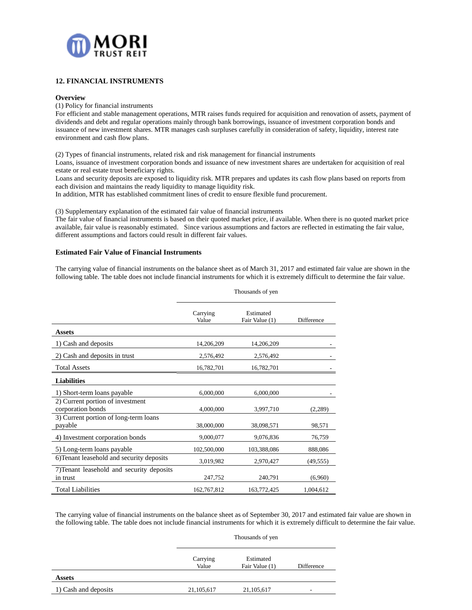

### **12. FINANCIAL INSTRUMENTS**

#### **Overview**

(1) Policy for financial instruments

For efficient and stable management operations, MTR raises funds required for acquisition and renovation of assets, payment of dividends and debt and regular operations mainly through bank borrowings, issuance of investment corporation bonds and issuance of new investment shares. MTR manages cash surpluses carefully in consideration of safety, liquidity, interest rate environment and cash flow plans.

(2) Types of financial instruments, related risk and risk management for financial instruments

Loans, issuance of investment corporation bonds and issuance of new investment shares are undertaken for acquisition of real estate or real estate trust beneficiary rights.

Loans and security deposits are exposed to liquidity risk. MTR prepares and updates its cash flow plans based on reports from each division and maintains the ready liquidity to manage liquidity risk.

In addition, MTR has established commitment lines of credit to ensure flexible fund procurement.

(3) Supplementary explanation of the estimated fair value of financial instruments

The fair value of financial instruments is based on their quoted market price, if available. When there is no quoted market price available, fair value is reasonably estimated. Since various assumptions and factors are reflected in estimating the fair value, different assumptions and factors could result in different fair values.

#### **Estimated Fair Value of Financial Instruments**

The carrying value of financial instruments on the balance sheet as of March 31, 2017 and estimated fair value are shown in the following table. The table does not include financial instruments for which it is extremely difficult to determine the fair value.

|                                                       | Carrying<br>Value | Estimated<br>Fair Value (1) | Difference |
|-------------------------------------------------------|-------------------|-----------------------------|------------|
| <b>Assets</b>                                         |                   |                             |            |
| 1) Cash and deposits                                  | 14,206,209        | 14,206,209                  |            |
| 2) Cash and deposits in trust                         | 2,576,492         | 2,576,492                   |            |
| <b>Total Assets</b>                                   | 16,782,701        | 16,782,701                  |            |
| <b>Liabilities</b>                                    |                   |                             |            |
| 1) Short-term loans payable                           | 6,000,000         | 6,000,000                   |            |
| 2) Current portion of investment<br>corporation bonds | 4,000,000         | 3,997,710                   | (2,289)    |
| 3) Current portion of long-term loans<br>payable      | 38,000,000        | 38,098,571                  | 98,571     |
| 4) Investment corporation bonds                       | 9,000,077         | 9,076,836                   | 76,759     |
| 5) Long-term loans payable                            | 102,500,000       | 103,388,086                 | 888,086    |
| 6) Tenant leasehold and security deposits             | 3,019,982         | 2,970,427                   | (49, 555)  |
| 7) Tenant leasehold and security deposits<br>in trust | 247,752           | 240,791                     | (6,960)    |
| <b>Total Liabilities</b>                              | 162,767,812       | 163,772,425                 | 1,004,612  |

Thousands of yen

The carrying value of financial instruments on the balance sheet as of September 30, 2017 and estimated fair value are shown in the following table. The table does not include financial instruments for which it is extremely difficult to determine the fair value.

Thousands of yen

| Carrying<br>Value | Estimated<br>Fair Value (1) | Difference |
|-------------------|-----------------------------|------------|
|                   |                             |            |
| 21, 105, 617      | 21, 105, 617                | ٠          |
|                   |                             |            |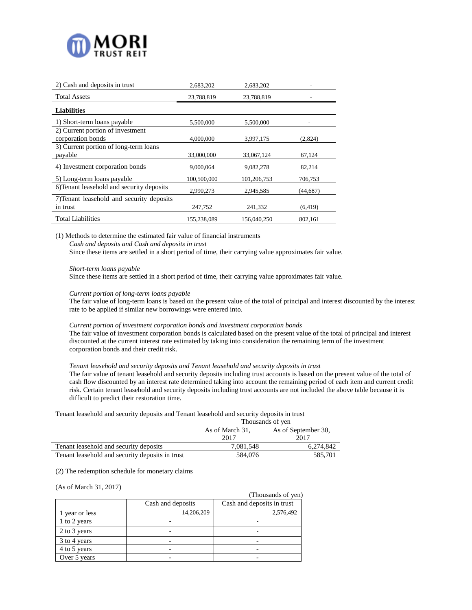

| 2) Cash and deposits in trust             | 2,683,202   | 2,683,202   |           |
|-------------------------------------------|-------------|-------------|-----------|
| <b>Total Assets</b>                       | 23,788,819  | 23,788,819  |           |
| <b>Liabilities</b>                        |             |             |           |
| 1) Short-term loans payable               | 5,500,000   | 5,500,000   |           |
| 2) Current portion of investment          |             |             |           |
| corporation bonds                         | 4.000.000   | 3,997,175   | (2,824)   |
| 3) Current portion of long-term loans     |             |             |           |
| payable                                   | 33,000,000  | 33,067,124  | 67,124    |
| 4) Investment corporation bonds           | 9,000,064   | 9,082,278   | 82,214    |
| 5) Long-term loans payable                | 100,500,000 | 101,206,753 | 706,753   |
| 6) Tenant leasehold and security deposits | 2,990,273   | 2,945,585   | (44, 687) |
| 7) Tenant leasehold and security deposits |             |             |           |
| in trust                                  | 247,752     | 241,332     | (6, 419)  |
| <b>Total Liabilities</b>                  | 155.238.089 | 156,040,250 | 802,161   |

(1) Methods to determine the estimated fair value of financial instruments

*Cash and deposits and Cash and deposits in trust*

Since these items are settled in a short period of time, their carrying value approximates fair value.

#### *Short-term loans payable*

Since these items are settled in a short period of time, their carrying value approximates fair value.

#### *Current portion of long-term loans payable*

The fair value of long-term loans is based on the present value of the total of principal and interest discounted by the interest rate to be applied if similar new borrowings were entered into.

#### *Current portion of investment corporation bonds and investment corporation bonds*

The fair value of investment corporation bonds is calculated based on the present value of the total of principal and interest discounted at the current interest rate estimated by taking into consideration the remaining term of the investment corporation bonds and their credit risk.

#### *Tenant leasehold and security deposits and Tenant leasehold and security deposits in trust*

The fair value of tenant leasehold and security deposits including trust accounts is based on the present value of the total of cash flow discounted by an interest rate determined taking into account the remaining period of each item and current credit risk. Certain tenant leasehold and security deposits including trust accounts are not included the above table because it is difficult to predict their restoration time.

Tenant leasehold and security deposits and Tenant leasehold and security deposits in trust

|                                                 | Thousands of yen |                     |  |
|-------------------------------------------------|------------------|---------------------|--|
|                                                 | As of March 31,  | As of September 30, |  |
|                                                 | 2017             | 2017                |  |
| Tenant leasehold and security deposits          | 7.081.548        | 6.274.842           |  |
| Tenant leasehold and security deposits in trust | 584,076          | 585.701             |  |

(2) The redemption schedule for monetary claims

#### (As of March 31, 2017)

|                |                   | (Thousands of yen)         |
|----------------|-------------------|----------------------------|
|                | Cash and deposits | Cash and deposits in trust |
| 1 year or less | 14,206,209        | 2,576,492                  |
| 1 to 2 years   |                   |                            |
| 2 to 3 years   |                   |                            |
| 3 to 4 years   |                   |                            |
| 4 to 5 years   |                   |                            |
| Over 5 years   |                   |                            |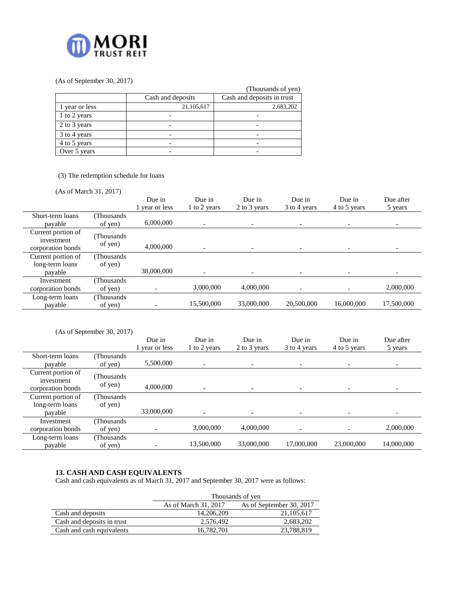

# (As of September 30, 2017)

|                |                   | (Thousands of yen)         |
|----------------|-------------------|----------------------------|
|                | Cash and deposits | Cash and deposits in trust |
| 1 year or less | 21,105,617        | 2,683,202                  |
| 1 to 2 years   |                   |                            |
| 2 to 3 years   |                   |                            |
| 3 to 4 years   |                   |                            |
| 4 to 5 years   |                   |                            |
| Over 5 years   |                   |                            |

# (3) The redemption schedule for loans

(As of March 31, 2017)

|                                                       |                       | Due in<br>1 year or less | Due in<br>1 to 2 years | Due in<br>2 to 3 years   | Due in<br>3 to 4 years | Due in<br>4 to 5 years   | Due after<br>5 years |
|-------------------------------------------------------|-----------------------|--------------------------|------------------------|--------------------------|------------------------|--------------------------|----------------------|
| Short-term loans<br>payable                           | Thousands<br>of yen)  | 6,000,000                |                        | $\overline{\phantom{a}}$ |                        | $\overline{\phantom{a}}$ |                      |
| Current portion of<br>investment<br>corporation bonds | (Thousands<br>of yen) | 4,000,000                |                        | $\overline{\phantom{a}}$ |                        |                          |                      |
| Current portion of<br>long-term loans<br>payable      | (Thousands<br>of yen) | 38,000,000               |                        |                          |                        |                          |                      |
| Investment<br>corporation bonds                       | (Thousands<br>of yen) |                          | 3,000,000              | 4,000,000                |                        |                          | 2,000,000            |
| Long-term loans<br>payable                            | Thousands<br>of yen)  |                          | 15,500,000             | 33,000,000               | 20,500,000             | 16,000,000               | 17,500,000           |

|                                                       | (As of September 30, 2017) |                          |                          |                          |                        |                          |                      |
|-------------------------------------------------------|----------------------------|--------------------------|--------------------------|--------------------------|------------------------|--------------------------|----------------------|
|                                                       |                            | Due in<br>1 year or less | Due in<br>1 to 2 years   | Due in<br>2 to 3 years   | Due in<br>3 to 4 years | Due in<br>4 to 5 years   | Due after<br>5 years |
| Short-term loans<br>payable                           | (Thousands<br>of yen)      | 5,500,000                | $\overline{\phantom{a}}$ | $\overline{\phantom{0}}$ |                        | $\overline{\phantom{0}}$ |                      |
| Current portion of<br>investment<br>corporation bonds | (Thousands<br>of yen)      | 4,000,000                |                          |                          |                        |                          |                      |
| Current portion of<br>long-term loans<br>payable      | (Thousands<br>of yen)      | 33,000,000               |                          |                          |                        |                          |                      |
| Investment<br>corporation bonds                       | (Thousands)<br>of yen)     |                          | 3,000,000                | 4,000,000                |                        |                          | 2,000,000            |
| Long-term loans<br>payable                            | (Thousands<br>of yen)      |                          | 13,500,000               | 33,000,000               | 17,000,000             | 23,000,000               | 14,000,000           |

# **13. CASH AND CASH EQUIVALENTS**

Cash and cash equivalents as of March 31, 2017 and September 30, 2017 were as follows:

|                            | Thousands of yen                                 |            |  |  |
|----------------------------|--------------------------------------------------|------------|--|--|
|                            | As of September 30, 2017<br>As of March 31, 2017 |            |  |  |
| Cash and deposits          | 14.206.209                                       | 21,105,617 |  |  |
| Cash and deposits in trust | 2,576,492                                        | 2,683,202  |  |  |
| Cash and cash equivalents  | 16,782,701                                       | 23,788,819 |  |  |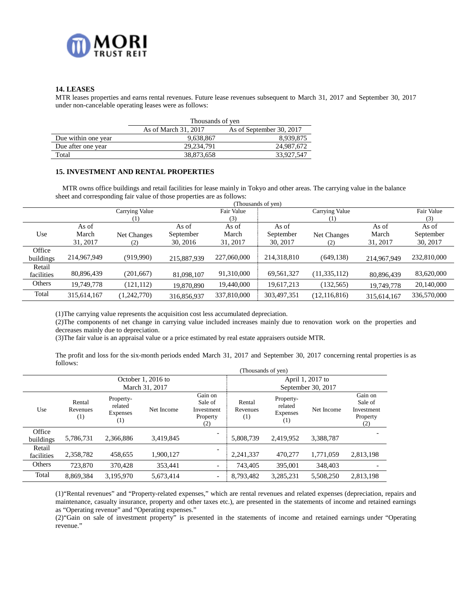

# **14. LEASES**

MTR leases properties and earns rental revenues. Future lease revenues subsequent to March 31, 2017 and September 30, 2017 under non-cancelable operating leases were as follows:

|                     | Thousands of yen                                 |            |  |  |
|---------------------|--------------------------------------------------|------------|--|--|
|                     | As of March 31, 2017<br>As of September 30, 2017 |            |  |  |
| Due within one year | 9,638,867                                        | 8,939,875  |  |  |
| Due after one year  | 29.234.791                                       | 24,987,672 |  |  |
| Total               | 38,873,658                                       | 33,927,547 |  |  |

### **15. INVESTMENT AND RENTAL PROPERTIES**

MTR owns office buildings and retail facilities for lease mainly in Tokyo and other areas. The carrying value in the balance sheet and corresponding fair value of those properties are as follows:

|            |             |                |             |             | (Thousands of yen) |                |             |             |
|------------|-------------|----------------|-------------|-------------|--------------------|----------------|-------------|-------------|
|            |             | Carrying Value |             | Fair Value  |                    | Carrying Value |             | Fair Value  |
|            |             | (1)            |             | (3)         |                    | (1)            |             | (3)         |
|            | As of       |                | As of       | As of       | As of              |                | As of       | As of       |
| Use        | March       | Net Changes    | September   | March       | September          | Net Changes    | March       | September   |
|            | 31, 2017    | (2)            | 30, 2016    | 31, 2017    | 30, 2017           | (2)            | 31, 2017    | 30, 2017    |
| Office     |             |                |             |             |                    |                |             |             |
| buildings  | 214,967,949 | (919,990)      | 215,887,939 | 227,060,000 | 214,318,810        | (649, 138)     | 214,967,949 | 232,810,000 |
| Retail     |             |                |             |             |                    |                |             |             |
| facilities | 80,896,439  | (201, 667)     | 81,098,107  | 91,310,000  | 69,561,327         | (11, 335, 112) | 80,896,439  | 83,620,000  |
| Others     | 19,749,778  | (121, 112)     | 19,870,890  | 19,440,000  | 19,617,213         | (132, 565)     | 19,749,778  | 20,140,000  |
| Total      | 315,614,167 | (1,242,770)    | 316,856,937 | 337,810,000 | 303,497,351        | (12, 116, 816) | 315,614,167 | 336,570,000 |

(1)The carrying value represents the acquisition cost less accumulated depreciation.

(2)The components of net change in carrying value included increases mainly due to renovation work on the properties and decreases mainly due to depreciation.

(3)The fair value is an appraisal value or a price estimated by real estate appraisers outside MTR.

The profit and loss for the six-month periods ended March 31, 2017 and September 30, 2017 concerning rental properties is as follows:

|                      | (Thousands of yen)        |                                         |                    |                                                     |                           |                                         |                    |                                                     |  |
|----------------------|---------------------------|-----------------------------------------|--------------------|-----------------------------------------------------|---------------------------|-----------------------------------------|--------------------|-----------------------------------------------------|--|
|                      |                           |                                         | October 1, 2016 to |                                                     |                           | April 1, 2017 to                        |                    |                                                     |  |
|                      |                           |                                         | March 31, 2017     |                                                     |                           |                                         | September 30, 2017 |                                                     |  |
| Use                  | Rental<br>Revenues<br>(1) | Property-<br>related<br>Expenses<br>(1) | Net Income         | Gain on<br>Sale of<br>Investment<br>Property<br>(2) | Rental<br>Revenues<br>(1) | Property-<br>related<br>Expenses<br>(1) | Net Income         | Gain on<br>Sale of<br>Investment<br>Property<br>(2) |  |
| Office<br>buildings  | 5,786,731                 | 2,366,886                               | 3,419,845          | $\overline{\phantom{0}}$                            | 5,808,739                 | 2.419.952                               | 3,388,787          |                                                     |  |
| Retail<br>facilities | 2,358,782                 | 458.655                                 | 1.900.127          | $\overline{\phantom{0}}$                            | 2.241.337                 | 470,277                                 | 1.771.059          | 2,813,198                                           |  |
| Others               | 723,870                   | 370,428                                 | 353.441            | $\overline{\phantom{a}}$                            | 743,405                   | 395,001                                 | 348,403            |                                                     |  |
| Total                | 8,869,384                 | 3.195.970                               | 5,673,414          | $\overline{\phantom{a}}$                            | 8,793,482                 | 3,285,231                               | 5,508,250          | 2,813,198                                           |  |

(1)"Rental revenues" and "Property-related expenses," which are rental revenues and related expenses (depreciation, repairs and maintenance, casualty insurance, property and other taxes etc.), are presented in the statements of income and retained earnings as "Operating revenue" and "Operating expenses."

(2)"Gain on sale of investment property" is presented in the statements of income and retained earnings under "Operating revenue."